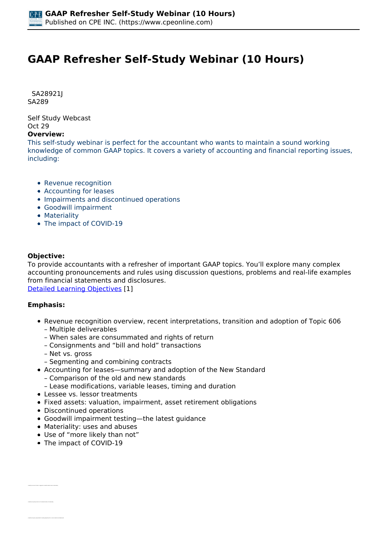# **GAAP Refresher Self-Study Webinar (10 Hours)**

 *SA28921J SA289* 

*Self Study Webcast Oct 29* 

#### **Overview:**

*This self-study webinar is perfect for the accountant who wants to maintain a sound working knowledge of common GAAP topics. It covers a variety of accounting and financial reporting issues, including:*

- *Revenue recognition*
- *Accounting for leases*
- *Impairments and discontinued operations*
- *Goodwill impairment*
- *Materiality*
- *The impact of COVID-19*

#### **Objective:**

*To provide accountants with a refresher of important GAAP topics. You'll explore many complex accounting pronouncements and rules using discussion questions, problems and real-life examples from financial statements and disclosures.*

*[Detailed Learning Objectives](https://www.cpeonline.com/JavaScript:showObjectivesPopup();) [1]*

#### **Emphasis:**

*• Identify the primary factors in the determination of materiality*

- *Revenue recognition overview, recent interpretations, transition and adoption of Topic 606 – Multiple deliverables*
	- *When sales are consummated and rights of return*
	- *Consignments and "bill and hold" transactions*
	- *Net vs. gross*
	- *Segmenting and combining contracts*
- *Accounting for leases—summary and adoption of the New Standard*
	- *Comparison of the old and new standards*
	- *Lease modifications, variable leases, timing and duration*
- *Lessee vs. lessor treatments*
- *Fixed assets: valuation, impairment, asset retirement obligations*
- *Discontinued operations*
- *Goodwill impairment testing—the latest guidance*
- *Materiality: uses and abuses*
- *Use of "more likely than not"*
- *The impact of COVID-19*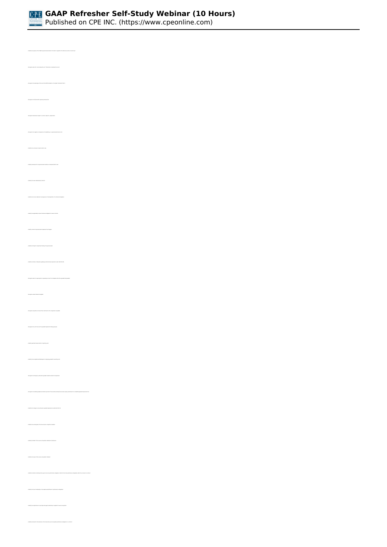

*Published on CPE INC. (https://www.cpeonline.com)*

| .<br>The state of the composed arrandment in the ASC in regards to the disclosure services of each topic                                                   |  |
|------------------------------------------------------------------------------------------------------------------------------------------------------------|--|
| the sales the "men-likely the cost" threshold is considered to be met                                                                                      |  |
| is advantage of the use of the HLTV standard on. the higher threshold of F&S S                                                                             |  |
| $\label{eq:2} In a spinon the initial distribution is a given in the graph.$                                                                               |  |
| $\label{eq:constrained} The equation \ for a point is a point in, a point is, a point is an integer.$                                                      |  |
| des hauften kannen auf gestellt gegen in annen magen maken an                                                                                              |  |
| $\gamma$ intertily the cost basis of a<br>such intitiler sale                                                                                              |  |
| $^{\circ}$ interily at a bat paint a long-local associated in consistent both for sale                                                                     |  |
| $\sim$ 100 KHz years and an arrest set of the $\sim$                                                                                                       |  |
| where its security a finite subject to the apparent state of $\mu$                                                                                         |  |
| identify the applicability of asset reformert abilipations to losse contracts.                                                                             |  |
| on long-load asset impairment test higgers                                                                                                                 |  |
| te steps for impairment testing of langularationers                                                                                                        |  |
| $\mathbf{B}$ , and $\mathbf{B}$ with unit equations and as profiles at                                                                                     |  |
| Trainer is a gap and write enlapsed a more places of the space of the space of $\Lambda$                                                                   |  |
|                                                                                                                                                            |  |
| point anywhite scenarios that could result in the reception of gentual                                                                                     |  |
| $\gamma$ function the set of account for qualital impairment<br>,,,,                                                                                       |  |
| $\gamma$ interestly spacefies observations of reporting and<br>a                                                                                           |  |
| interestly the acceptable methodologies for analysing panded to reporting units                                                                            |  |
| $\tau$ function the frequency with which gradual<br>botaticity tested for important                                                                        |  |
| $\label{thm:main} The region is the ideal point contains point for the same time density is positive very distinct for a single point in the other point.$ |  |
| $\ast$ identify the changes to accusating for guariali impairments under AE4 2017.04                                                                       |  |
| $\gamma$ interly the sum of spain of the new momen reception standard                                                                                      |  |
| $\gamma$ interly the effect of the moment reception standard on abeliances.                                                                                |  |
| $\gamma$ interfy the scape of the months reception standard                                                                                                |  |
| sty the lasters industing that a guasiar service performance obligation is distinct from other performance obligations within the context of a context     |  |
| $\gamma$ interfy the rate of materiality in the separate identification of particulars and gations.                                                        |  |
| $\bullet$ is<br>locally the implications of a principal and agent relationship in regards to receive recognition                                           |  |